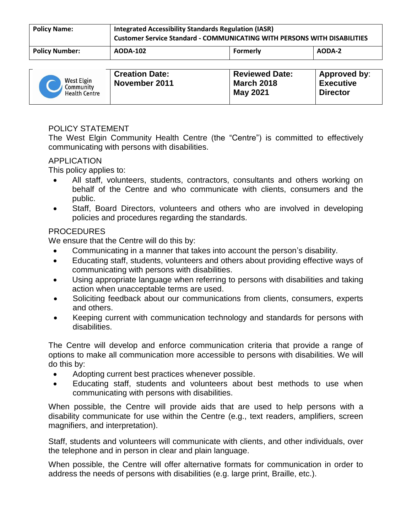| <b>Policy Name:</b>   | <b>Integrated Accessibility Standards Regulation (IASR)</b><br>Customer Service Standard - COMMUNICATING WITH PERSONS WITH DISABILITIES |          |        |
|-----------------------|-----------------------------------------------------------------------------------------------------------------------------------------|----------|--------|
| <b>Policy Number:</b> | <b>AODA-102</b>                                                                                                                         | Formerly | AODA-2 |

| West Elgin<br>Community<br><b>Health Centre</b> | <b>Creation Date:</b><br>November 2011 | <b>Reviewed Date:</b><br><b>March 2018</b><br><b>May 2021</b> | Approved by:<br><b>Executive</b><br><b>Director</b> |
|-------------------------------------------------|----------------------------------------|---------------------------------------------------------------|-----------------------------------------------------|
|-------------------------------------------------|----------------------------------------|---------------------------------------------------------------|-----------------------------------------------------|

# POLICY STATEMENT

The West Elgin Community Health Centre (the "Centre") is committed to effectively communicating with persons with disabilities.

### APPLICATION

This policy applies to:

- All staff, volunteers, students, contractors, consultants and others working on behalf of the Centre and who communicate with clients, consumers and the public.
- Staff, Board Directors, volunteers and others who are involved in developing policies and procedures regarding the standards.

## PROCEDURES

We ensure that the Centre will do this by:

- Communicating in a manner that takes into account the person's disability.
- Educating staff, students, volunteers and others about providing effective ways of communicating with persons with disabilities.
- Using appropriate language when referring to persons with disabilities and taking action when unacceptable terms are used.
- Soliciting feedback about our communications from clients, consumers, experts and others.
- Keeping current with communication technology and standards for persons with disabilities.

The Centre will develop and enforce communication criteria that provide a range of options to make all communication more accessible to persons with disabilities. We will do this by:

- Adopting current best practices whenever possible.
- Educating staff, students and volunteers about best methods to use when communicating with persons with disabilities.

When possible, the Centre will provide aids that are used to help persons with a disability communicate for use within the Centre (e.g., text readers, amplifiers, screen magnifiers, and interpretation).

Staff, students and volunteers will communicate with clients, and other individuals, over the telephone and in person in clear and plain language.

When possible, the Centre will offer alternative formats for communication in order to address the needs of persons with disabilities (e.g. large print, Braille, etc.).